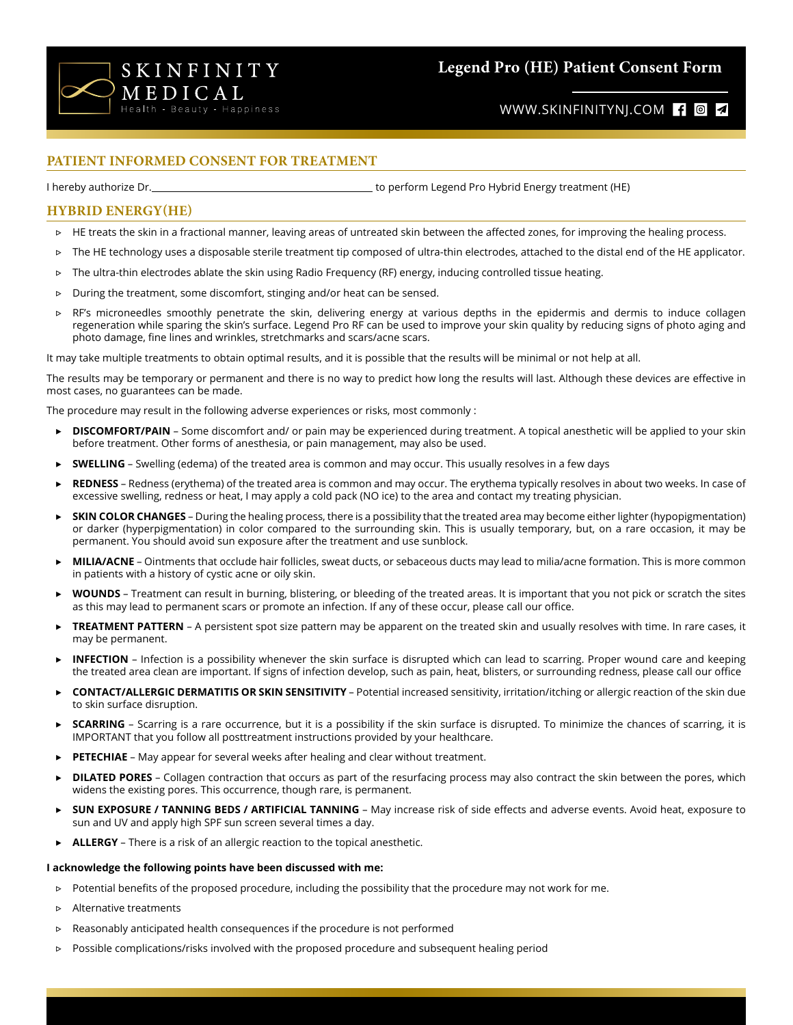

# **Legend Pro (HE) Patient Consent Form**

## WWW.SKINFINITYNJ.COM f <sup>o</sup>

### **PATIENT INFORMED CONSENT FOR TREATMENT**

I hereby authorize Dr. the controlled and the perform Legend Pro Hybrid Energy treatment (HE)

### **HYBRID ENERGY(HE)**

- ▷ HE treats the skin in a fractional manner, leaving areas of untreated skin between the affected zones, for improving the healing process.
- ▷ The HE technology uses a disposable sterile treatment tip composed of ultra-thin electrodes, attached to the distal end of the HE applicator.
- ▷ The ultra-thin electrodes ablate the skin using Radio Frequency (RF) energy, inducing controlled tissue heating.
- ▷ During the treatment, some discomfort, stinging and/or heat can be sensed.
- ▷ RF's microneedles smoothly penetrate the skin, delivering energy at various depths in the epidermis and dermis to induce collagen regeneration while sparing the skin's surface. Legend Pro RF can be used to improve your skin quality by reducing signs of photo aging and photo damage, fine lines and wrinkles, stretchmarks and scars/acne scars.

It may take multiple treatments to obtain optimal results, and it is possible that the results will be minimal or not help at all.

The results may be temporary or permanent and there is no way to predict how long the results will last. Although these devices are effective in most cases, no guarantees can be made.

The procedure may result in the following adverse experiences or risks, most commonly :

- ▶ **DISCOMFORT/PAIN** Some discomfort and/ or pain may be experienced during treatment. A topical anesthetic will be applied to your skin before treatment. Other forms of anesthesia, or pain management, may also be used.
- ▶ **SWELLING** Swelling (edema) of the treated area is common and may occur. This usually resolves in a few days
- REDNESS Redness (erythema) of the treated area is common and may occur. The erythema typically resolves in about two weeks. In case of excessive swelling, redness or heat, I may apply a cold pack (NO ice) to the area and contact my treating physician.
- **SKIN COLOR CHANGES** During the healing process, there is a possibility that the treated area may become either lighter (hypopigmentation) or darker (hyperpigmentation) in color compared to the surrounding skin. This is usually temporary, but, on a rare occasion, it may be permanent. You should avoid sun exposure after the treatment and use sunblock.
- ▶ **MILIA/ACNE** Ointments that occlude hair follicles, sweat ducts, or sebaceous ducts may lead to milia/acne formation. This is more common in patients with a history of cystic acne or oily skin.
- **► WOUNDS** Treatment can result in burning, blistering, or bleeding of the treated areas. It is important that you not pick or scratch the sites as this may lead to permanent scars or promote an infection. If any of these occur, please call our office.
- **TREATMENT PATTERN** A persistent spot size pattern may be apparent on the treated skin and usually resolves with time. In rare cases, it may be permanent.
- **INFECTION** Infection is a possibility whenever the skin surface is disrupted which can lead to scarring. Proper wound care and keeping the treated area clean are important. If signs of infection develop, such as pain, heat, blisters, or surrounding redness, please call our office
- ▶ **CONTACT/ALLERGIC DERMATITIS OR SKIN SENSITIVITY** Potential increased sensitivity, irritation/itching or allergic reaction of the skin due to skin surface disruption.
- **► SCARRING** Scarring is a rare occurrence, but it is a possibility if the skin surface is disrupted. To minimize the chances of scarring, it is IMPORTANT that you follow all posttreatment instructions provided by your healthcare.
- **PETECHIAE** May appear for several weeks after healing and clear without treatment.
- **DILATED PORES** Collagen contraction that occurs as part of the resurfacing process may also contract the skin between the pores, which widens the existing pores. This occurrence, though rare, is permanent.
- ▶ **SUN EXPOSURE / TANNING BEDS / ARTIFICIAL TANNING** May increase risk of side effects and adverse events. Avoid heat, exposure to sun and UV and apply high SPF sun screen several times a day.
- **ALLERGY** There is a risk of an allergic reaction to the topical anesthetic.

#### **I acknowledge the following points have been discussed with me:**

- ▷ Potential benefits of the proposed procedure, including the possibility that the procedure may not work for me.
- ▷ Alternative treatments
- ▷ Reasonably anticipated health consequences if the procedure is not performed
- ▷ Possible complications/risks involved with the proposed procedure and subsequent healing period